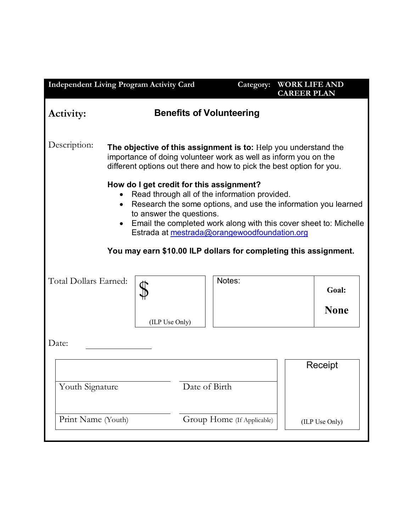| <b>Independent Living Program Activity Card</b>                                                                                                                                                                                                                                                                           |                                                                                                                                                                                                            |                |                            | Category: |  | <b>WORK LIFE AND</b><br><b>CAREER PLAN</b> |
|---------------------------------------------------------------------------------------------------------------------------------------------------------------------------------------------------------------------------------------------------------------------------------------------------------------------------|------------------------------------------------------------------------------------------------------------------------------------------------------------------------------------------------------------|----------------|----------------------------|-----------|--|--------------------------------------------|
| <b>Benefits of Volunteering</b><br>Activity:                                                                                                                                                                                                                                                                              |                                                                                                                                                                                                            |                |                            |           |  |                                            |
| Description:                                                                                                                                                                                                                                                                                                              | The objective of this assignment is to: Help you understand the<br>importance of doing volunteer work as well as inform you on the<br>different options out there and how to pick the best option for you. |                |                            |           |  |                                            |
| How do I get credit for this assignment?<br>Read through all of the information provided.<br>Research the some options, and use the information you learned<br>$\bullet$<br>to answer the questions.<br>Email the completed work along with this cover sheet to: Michelle<br>Estrada at mestrada@orangewoodfoundation.org |                                                                                                                                                                                                            |                |                            |           |  |                                            |
| You may earn \$10.00 ILP dollars for completing this assignment.                                                                                                                                                                                                                                                          |                                                                                                                                                                                                            |                |                            |           |  |                                            |
| Total Dollars Earned:                                                                                                                                                                                                                                                                                                     |                                                                                                                                                                                                            |                |                            | Notes:    |  | Goal:                                      |
|                                                                                                                                                                                                                                                                                                                           |                                                                                                                                                                                                            | (ILP Use Only) |                            |           |  | <b>None</b>                                |
| Date:                                                                                                                                                                                                                                                                                                                     |                                                                                                                                                                                                            |                |                            |           |  |                                            |
|                                                                                                                                                                                                                                                                                                                           |                                                                                                                                                                                                            |                |                            | Receipt   |  |                                            |
| Youth Signature                                                                                                                                                                                                                                                                                                           |                                                                                                                                                                                                            |                | Date of Birth              |           |  |                                            |
| Print Name (Youth)                                                                                                                                                                                                                                                                                                        |                                                                                                                                                                                                            |                | Group Home (If Applicable) |           |  | (ILP Use Only)                             |